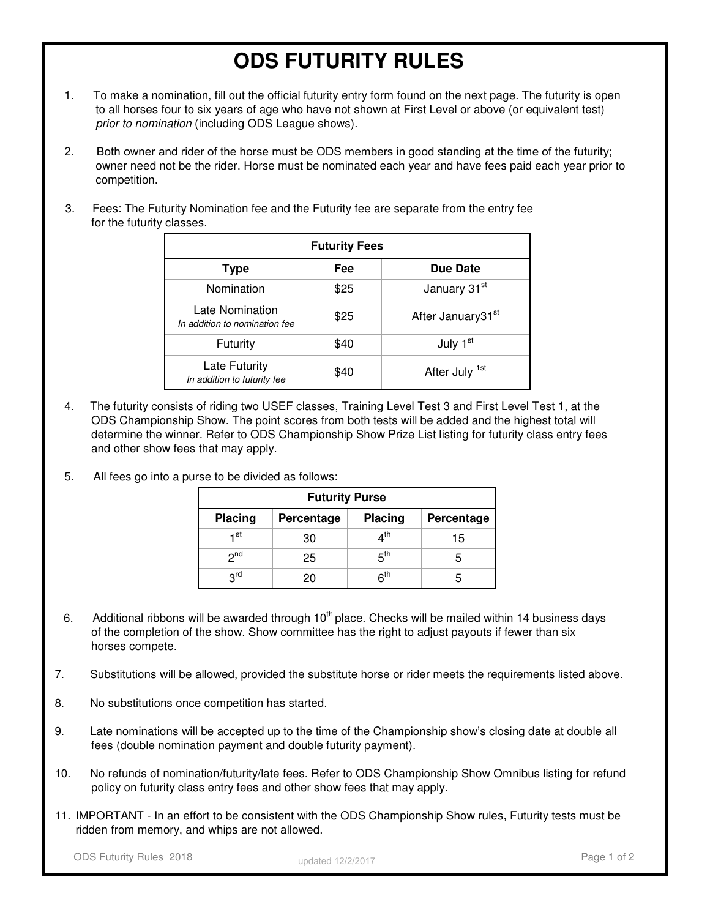## **ODS FUTURITY RULES**

- 1. To make a nomination, fill out the official futurity entry form found on the next page. The futurity is open to all horses four to six years of age who have not shown at First Level or above (or equivalent test) prior to nomination (including ODS League shows).
- 2. Both owner and rider of the horse must be ODS members in good standing at the time of the futurity; owner need not be the rider. Horse must be nominated each year and have fees paid each year prior to competition.
- 3. Fees: The Futurity Nomination fee and the Futurity fee are separate from the entry fee for the futurity classes.

|                                                  | <b>Futurity Fees</b> |                               |
|--------------------------------------------------|----------------------|-------------------------------|
| Type                                             | Fee                  | Due Date                      |
| Nomination                                       | \$25                 | January 31 <sup>st</sup>      |
| Late Nomination<br>In addition to nomination fee | \$25                 | After January31 <sup>st</sup> |
| Futurity                                         | \$40                 | July 1 <sup>st</sup>          |
| Late Futurity<br>In addition to futurity fee     | \$40                 | After July <sup>1st</sup>     |

- 4. The futurity consists of riding two USEF classes, Training Level Test 3 and First Level Test 1, at the ODS Championship Show. The point scores from both tests will be added and the highest total will determine the winner. Refer to ODS Championship Show Prize List listing for futurity class entry fees and other show fees that may apply.
- 5. All fees go into a purse to be divided as follows:

|                 | <b>Futurity Purse</b> |                                |            |
|-----------------|-----------------------|--------------------------------|------------|
| <b>Placing</b>  | Percentage            | Placing                        | Percentage |
| ⊣ st            | 30                    | $\boldsymbol{A}^{\mathsf{th}}$ | 15         |
| 2 <sup>nd</sup> | 25                    | 5 <sup>th</sup>                |            |
| 3 <sup>rd</sup> | 20                    | 6 <sup>th</sup>                | h          |

- 6. Additional ribbons will be awarded through  $10<sup>th</sup>$  place. Checks will be mailed within 14 business days of the completion of the show. Show committee has the right to adjust payouts if fewer than six horses compete.
- 7. Substitutions will be allowed, provided the substitute horse or rider meets the requirements listed above.
- 8. No substitutions once competition has started.
- 9. Late nominations will be accepted up to the time of the Championship show's closing date at double all fees (double nomination payment and double futurity payment).
- 10. No refunds of nomination/futurity/late fees. Refer to ODS Championship Show Omnibus listing for refund policy on futurity class entry fees and other show fees that may apply.
- 11. IMPORTANT In an effort to be consistent with the ODS Championship Show rules, Futurity tests must be ridden from memory, and whips are not allowed.